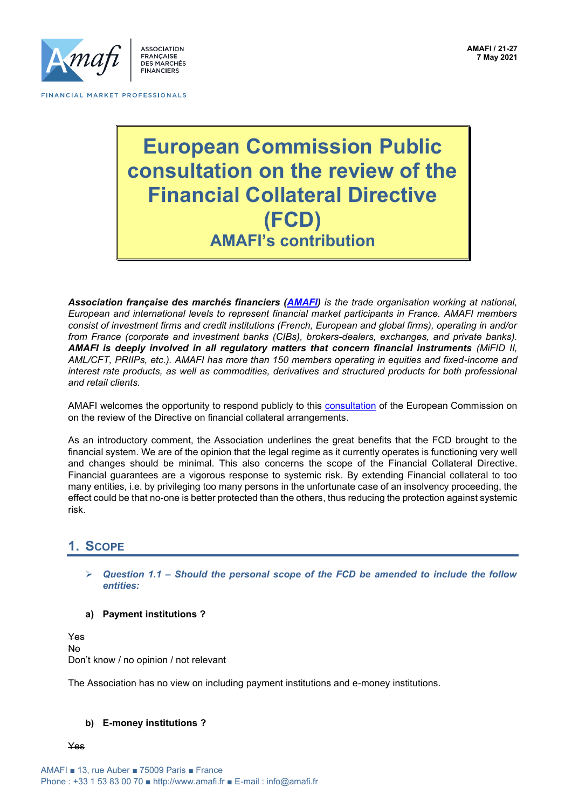

# **European Commission Public consultation on the review of the Financial Collateral Directive (FCD) AMAFI's contribution**

*Association française des marchés financiers [\(AMAFI\)](http://www.amafi.fr/en) is the trade organisation working at national, European and international levels to represent financial market participants in France. AMAFI members consist of investment firms and credit institutions (French, European and global firms), operating in and/or from France (corporate and investment banks (CIBs), brokers-dealers, exchanges, and private banks). AMAFI is deeply involved in all regulatory matters that concern financial instruments (MiFID II, AML/CFT, PRIIPs, etc.). AMAFI has more than 150 members operating in equities and fixed-income and interest rate products, as well as commodities, derivatives and structured products for both professional and retail clients.*

AMAFI welcomes the opportunity to respond publicly to this [consultation](https://ec.europa.eu/info/sites/default/files/business_economy_euro/banking_and_finance/documents/2021-financial-collateral-review-consultation-document_en.pdf) of the European Commission on on the review of the Directive on financial collateral arrangements.

As an introductory comment, the Association underlines the great benefits that the FCD brought to the financial system. We are of the opinion that the legal regime as it currently operates is functioning very well and changes should be minimal. This also concerns the scope of the Financial Collateral Directive. Financial guarantees are a vigorous response to systemic risk. By extending Financial collateral to too many entities, i.e. by privileging too many persons in the unfortunate case of an insolvency proceeding, the effect could be that no-one is better protected than the others, thus reducing the protection against systemic risk.

### **1. SCOPE**

- ➢ *Question 1.1 – Should the personal scope of the FCD be amended to include the follow entities:*
- **a) Payment institutions ?**

Yes No Don't know / no opinion / not relevant

The Association has no view on including payment institutions and e-money institutions.

#### **b) E-money institutions ?**

Yes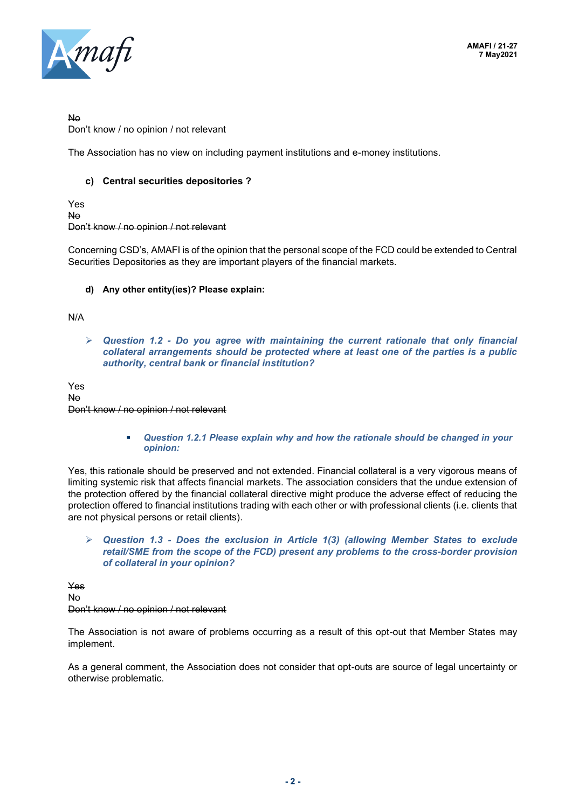

No

Don't know / no opinion / not relevant

The Association has no view on including payment institutions and e-money institutions.

#### **c) Central securities depositories ?**

Yes No Don't know / no opinion / not relevant

Concerning CSD's, AMAFI is of the opinion that the personal scope of the FCD could be extended to Central Securities Depositories as they are important players of the financial markets.

#### **d) Any other entity(ies)? Please explain:**

N/A

➢ *Question 1.2 - Do you agree with maintaining the current rationale that only financial collateral arrangements should be protected where at least one of the parties is a public authority, central bank or financial institution?* 

Yes No Don't know / no opinion / not relevant

> ■ Question 1.2.1 Please explain why and how the rationale should be changed in your *opinion:*

Yes, this rationale should be preserved and not extended. Financial collateral is a very vigorous means of limiting systemic risk that affects financial markets. The association considers that the undue extension of the protection offered by the financial collateral directive might produce the adverse effect of reducing the protection offered to financial institutions trading with each other or with professional clients (i.e. clients that are not physical persons or retail clients).

➢ *Question 1.3 - Does the exclusion in Article 1(3) (allowing Member States to exclude retail/SME from the scope of the FCD) present any problems to the cross-border provision of collateral in your opinion?*

Yes No Don't know / no opinion / not relevant

The Association is not aware of problems occurring as a result of this opt-out that Member States may implement.

As a general comment, the Association does not consider that opt-outs are source of legal uncertainty or otherwise problematic.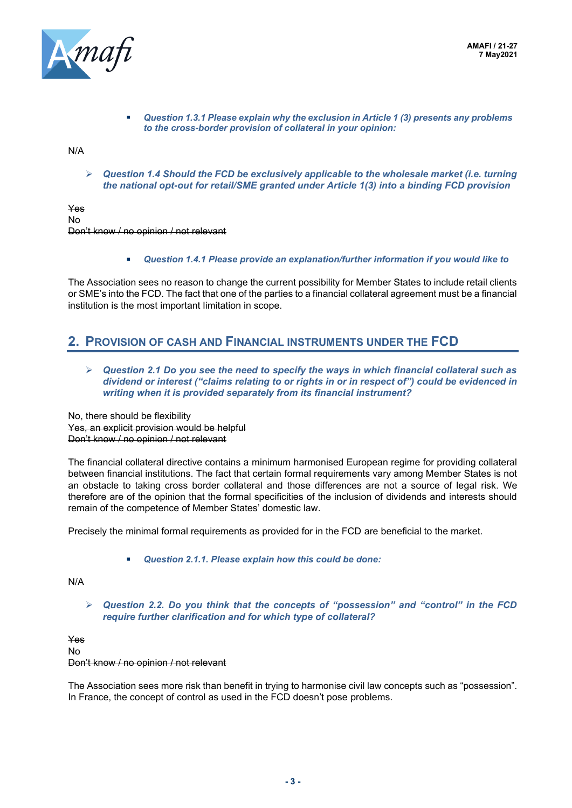

▪ *Question 1.3.1 Please explain why the exclusion in Article 1 (3) presents any problems to the cross-border provision of collateral in your opinion:* 

N/A

➢ *Question 1.4 Should the FCD be exclusively applicable to the wholesale market (i.e. turning the national opt-out for retail/SME granted under Article 1(3) into a binding FCD provision*

Yes No Don't know / no opinion / not relevant

▪ *Question 1.4.1 Please provide an explanation/further information if you would like to*

The Association sees no reason to change the current possibility for Member States to include retail clients or SME's into the FCD. The fact that one of the parties to a financial collateral agreement must be a financial institution is the most important limitation in scope.

### **2. PROVISION OF CASH AND FINANCIAL INSTRUMENTS UNDER THE FCD**

➢ *Question 2.1 Do you see the need to specify the ways in which financial collateral such as dividend or interest ("claims relating to or rights in or in respect of") could be evidenced in writing when it is provided separately from its financial instrument?*

No, there should be flexibility Yes, an explicit provision would be helpful Don't know / no opinion / not relevant

The financial collateral directive contains a minimum harmonised European regime for providing collateral between financial institutions. The fact that certain formal requirements vary among Member States is not an obstacle to taking cross border collateral and those differences are not a source of legal risk. We therefore are of the opinion that the formal specificities of the inclusion of dividends and interests should remain of the competence of Member States' domestic law.

Precisely the minimal formal requirements as provided for in the FCD are beneficial to the market.

▪ *Question 2.1.1. Please explain how this could be done:*

N/A

➢ *Question 2.2. Do you think that the concepts of "possession" and "control" in the FCD require further clarification and for which type of collateral?* 

Yes No Don't know / no opinion / not relevant

The Association sees more risk than benefit in trying to harmonise civil law concepts such as "possession". In France, the concept of control as used in the FCD doesn't pose problems.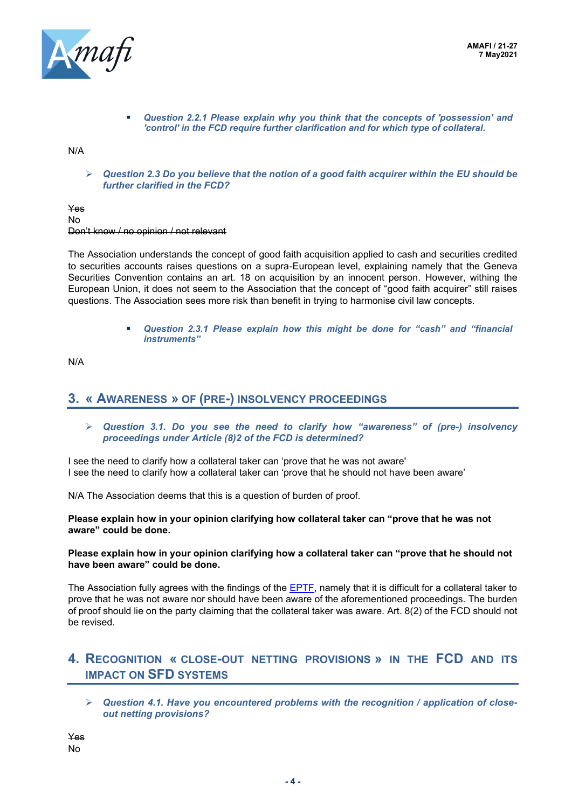

▪ *Question 2.2.1 Please explain why you think that the concepts of 'possession' and 'control' in the FCD require further clarification and for which type of collateral.*

N/A

➢ *Question 2.3 Do you believe that the notion of a good faith acquirer within the EU should be further clarified in the FCD?*

Yes No Don't know / no opinion / not relevant

The Association understands the concept of good faith acquisition applied to cash and securities credited to securities accounts raises questions on a supra-European level, explaining namely that the Geneva Securities Convention contains an art. 18 on acquisition by an innocent person. However, withing the European Union, it does not seem to the Association that the concept of "good faith acquirer" still raises questions. The Association sees more risk than benefit in trying to harmonise civil law concepts.

> ▪ *Question 2.3.1 Please explain how this might be done for "cash" and "financial instruments"*

N/A

### **3. « AWARENESS » OF (PRE-) INSOLVENCY PROCEEDINGS**

➢ *Question 3.1. Do you see the need to clarify how "awareness" of (pre-) insolvency proceedings under Article (8)2 of the FCD is determined?* 

I see the need to clarify how a collateral taker can 'prove that he was not aware' I see the need to clarify how a collateral taker can 'prove that he should not have been aware'

N/A The Association deems that this is a question of burden of proof.

**Please explain how in your opinion clarifying how collateral taker can "prove that he was not aware" could be done.**

#### **Please explain how in your opinion clarifying how a collateral taker can "prove that he should not have been aware" could be done.**

The Association fully agrees with the findings of the **EPTF**, namely that it is difficult for a collateral taker to prove that he was not aware nor should have been aware of the aforementioned proceedings. The burden of proof should lie on the party claiming that the collateral taker was aware. Art. 8(2) of the FCD should not be revised.

### **4. RECOGNITION « CLOSE-OUT NETTING PROVISIONS » IN THE FCD AND ITS IMPACT ON SFD SYSTEMS**

➢ *Question 4.1. Have you encountered problems with the recognition / application of closeout netting provisions?*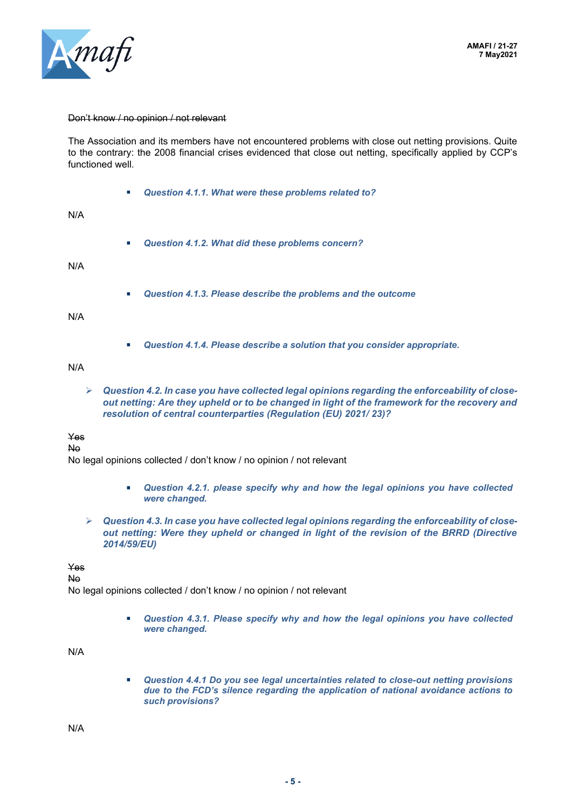

#### Don't know / no opinion / not relevant

The Association and its members have not encountered problems with close out netting provisions. Quite to the contrary: the 2008 financial crises evidenced that close out netting, specifically applied by CCP's functioned well.

▪ *Question 4.1.1. What were these problems related to?* 

N/A

▪ *Question 4.1.2. What did these problems concern?* 

N/A

Question 4.1.3. Please describe the problems and the outcome

N/A

▪ *Question 4.1.4. Please describe a solution that you consider appropriate.*

N/A

➢ *Question 4.2. In case you have collected legal opinions regarding the enforceability of closeout netting: Are they upheld or to be changed in light of the framework for the recovery and resolution of central counterparties (Regulation (EU) 2021/ 23)?* 

#### Yes

#### No

No legal opinions collected / don't know / no opinion / not relevant

- *Question 4.2.1. please specify why and how the legal opinions you have collected were changed.*
- ➢ *Question 4.3. In case you have collected legal opinions regarding the enforceability of closeout netting: Were they upheld or changed in light of the revision of the BRRD (Directive 2014/59/EU)*

Yes

No

No legal opinions collected / don't know / no opinion / not relevant

■ **Question 4.3.1. Please specify why and how the legal opinions you have collected** *were changed.*

N/A

■ *Question 4.4.1 Do you see legal uncertainties related to close-out netting provisions due to the FCD's silence regarding the application of national avoidance actions to such provisions?*

N/A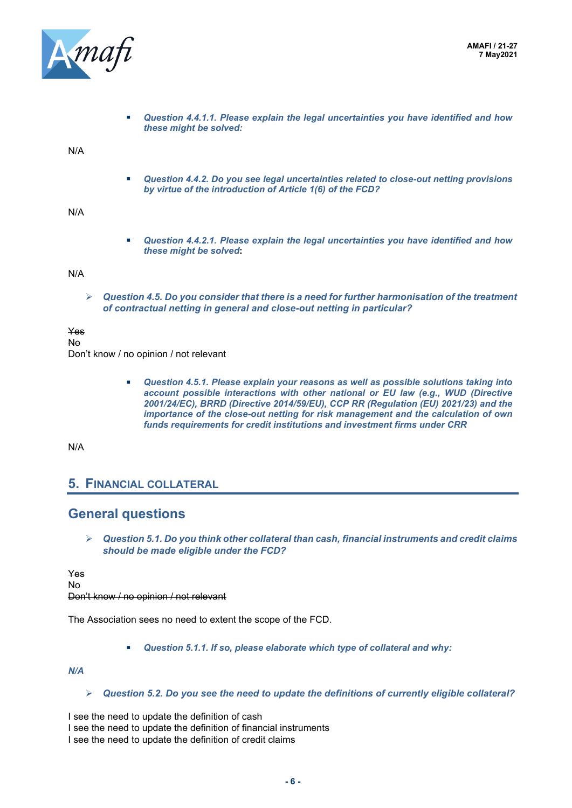

▪ *Question 4.4.1.1. Please explain the legal uncertainties you have identified and how these might be solved:* 

N/A

■ **Question 4.4.2. Do you see legal uncertainties related to close-out netting provisions** *by virtue of the introduction of Article 1(6) of the FCD?* 

N/A

▪ *Question 4.4.2.1. Please explain the legal uncertainties you have identified and how these might be solved***:** 

N/A

➢ *Question 4.5. Do you consider that there is a need for further harmonisation of the treatment of contractual netting in general and close-out netting in particular?* 

Yes

No

Don't know / no opinion / not relevant

▪ *Question 4.5.1. Please explain your reasons as well as possible solutions taking into account possible interactions with other national or EU law (e.g., WUD (Directive 2001/24/EC), BRRD (Directive 2014/59/EU), CCP RR (Regulation (EU) 2021/23) and the importance of the close-out netting for risk management and the calculation of own funds requirements for credit institutions and investment firms under CRR*

N/A

### **5. FINANCIAL COLLATERAL**

### **General questions**

➢ *Question 5.1. Do you think other collateral than cash, financial instruments and credit claims should be made eligible under the FCD?* 

Yes No Don't know / no opinion / not relevant

The Association sees no need to extent the scope of the FCD.

▪ *Question 5.1.1. If so, please elaborate which type of collateral and why:* 

*N/A*

➢ *Question 5.2. Do you see the need to update the definitions of currently eligible collateral?* 

I see the need to update the definition of cash I see the need to update the definition of financial instruments I see the need to update the definition of credit claims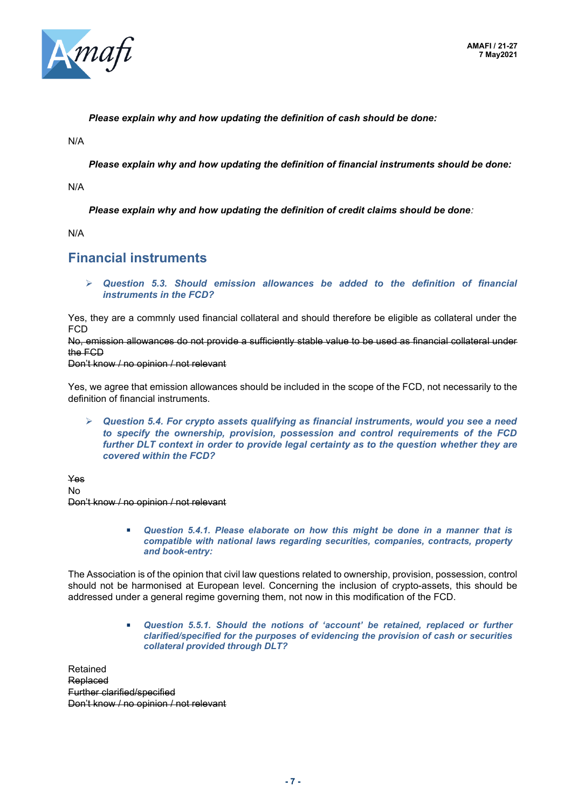

*Please explain why and how updating the definition of cash should be done:* 

N/A

*Please explain why and how updating the definition of financial instruments should be done:* 

N/A

*Please explain why and how updating the definition of credit claims should be done:*

N/A

### **Financial instruments**

➢ *Question 5.3. Should emission allowances be added to the definition of financial instruments in the FCD?* 

Yes, they are a commnly used financial collateral and should therefore be eligible as collateral under the FCD

No, emission allowances do not provide a sufficiently stable value to be used as financial collateral under the FCD

Don't know / no opinion / not relevant

Yes, we agree that emission allowances should be included in the scope of the FCD, not necessarily to the definition of financial instruments.

➢ *Question 5.4. For crypto assets qualifying as financial instruments, would you see a need to specify the ownership, provision, possession and control requirements of the FCD further DLT context in order to provide legal certainty as to the question whether they are covered within the FCD?* 

Yes No Don't know / no opinion / not relevant

> ■ Question 5.4.1. Please elaborate on how this might be done in a manner that is *compatible with national laws regarding securities, companies, contracts, property and book-entry:*

The Association is of the opinion that civil law questions related to ownership, provision, possession, control should not be harmonised at European level. Concerning the inclusion of crypto-assets, this should be addressed under a general regime governing them, not now in this modification of the FCD.

> ▪ *Question 5.5.1. Should the notions of 'account' be retained, replaced or further clarified/specified for the purposes of evidencing the provision of cash or securities collateral provided through DLT?*

Retained Replaced Further clarified/specified Don't know / no opinion / not relevant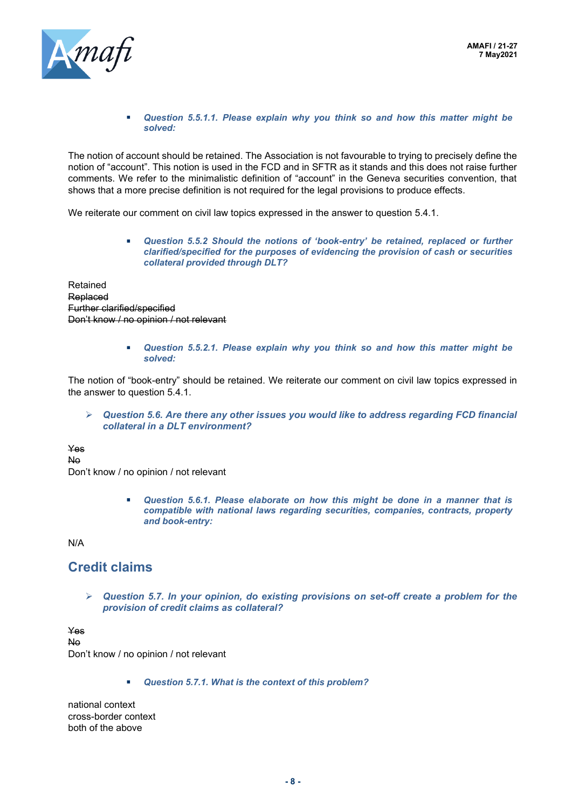

▪ *Question 5.5.1.1. Please explain why you think so and how this matter might be solved:*

The notion of account should be retained. The Association is not favourable to trying to precisely define the notion of "account". This notion is used in the FCD and in SFTR as it stands and this does not raise further comments. We refer to the minimalistic definition of "account" in the Geneva securities convention, that shows that a more precise definition is not required for the legal provisions to produce effects.

We reiterate our comment on civil law topics expressed in the answer to question 5.4.1.

▪ *Question 5.5.2 Should the notions of 'book-entry' be retained, replaced or further clarified/specified for the purposes of evidencing the provision of cash or securities collateral provided through DLT?*

Retained Replaced Further clarified/specified Don't know / no opinion / not relevant

> ▪ *Question 5.5.2.1. Please explain why you think so and how this matter might be solved:*

The notion of "book-entry" should be retained. We reiterate our comment on civil law topics expressed in the answer to question 5.4.1.

➢ *Question 5.6. Are there any other issues you would like to address regarding FCD financial collateral in a DLT environment?*

Yes No

Don't know / no opinion / not relevant

■ Question 5.6.1. Please elaborate on how this might be done in a manner that is *compatible with national laws regarding securities, companies, contracts, property and book-entry:*

N/A

## **Credit claims**

➢ *Question 5.7. In your opinion, do existing provisions on set-off create a problem for the provision of credit claims as collateral?* 

Yes No Don't know / no opinion / not relevant

▪ *Question 5.7.1. What is the context of this problem?*

national context cross-border context both of the above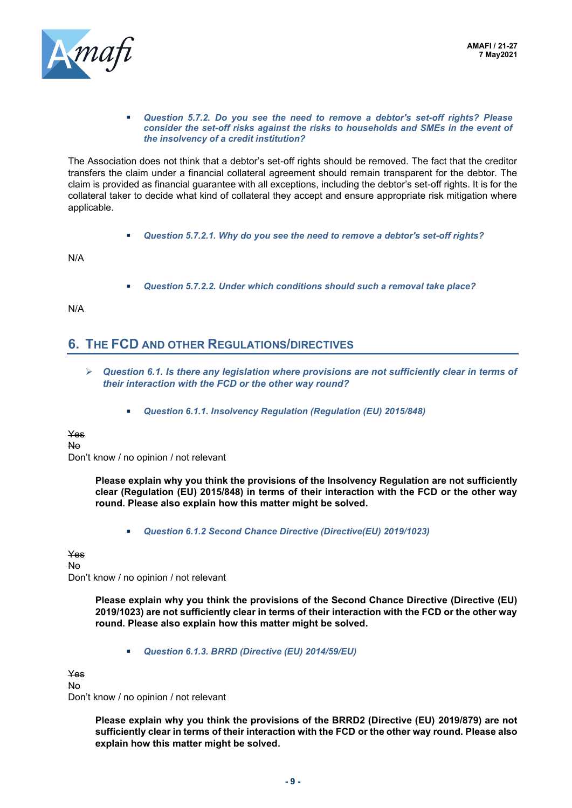

#### ▪ *Question 5.7.2. Do you see the need to remove a debtor's set-off rights? Please consider the set-off risks against the risks to households and SMEs in the event of the insolvency of a credit institution?*

The Association does not think that a debtor's set-off rights should be removed. The fact that the creditor transfers the claim under a financial collateral agreement should remain transparent for the debtor. The claim is provided as financial guarantee with all exceptions, including the debtor's set-off rights. It is for the collateral taker to decide what kind of collateral they accept and ensure appropriate risk mitigation where applicable.

▪ *Question 5.7.2.1. Why do you see the need to remove a debtor's set-off rights?*

N/A

▪ *Question 5.7.2.2. Under which conditions should such a removal take place?*

N/A

### **6. THE FCD AND OTHER REGULATIONS/DIRECTIVES**

- ➢ *Question 6.1. Is there any legislation where provisions are not sufficiently clear in terms of their interaction with the FCD or the other way round?*
	- *Question 6.1.1. Insolvency Regulation (Regulation (EU) 2015/848)*

Yes No

Don't know / no opinion / not relevant

**Please explain why you think the provisions of the Insolvency Regulation are not sufficiently clear (Regulation (EU) 2015/848) in terms of their interaction with the FCD or the other way round. Please also explain how this matter might be solved.**

▪ *Question 6.1.2 Second Chance Directive (Directive(EU) 2019/1023)*

Yes

No Don't know / no opinion / not relevant

> **Please explain why you think the provisions of the Second Chance Directive (Directive (EU) 2019/1023) are not sufficiently clear in terms of their interaction with the FCD or the other way round. Please also explain how this matter might be solved.**

▪ *Question 6.1.3. BRRD (Directive (EU) 2014/59/EU)*

Yes

No

Don't know / no opinion / not relevant

**Please explain why you think the provisions of the BRRD2 (Directive (EU) 2019/879) are not sufficiently clear in terms of their interaction with the FCD or the other way round. Please also explain how this matter might be solved.**